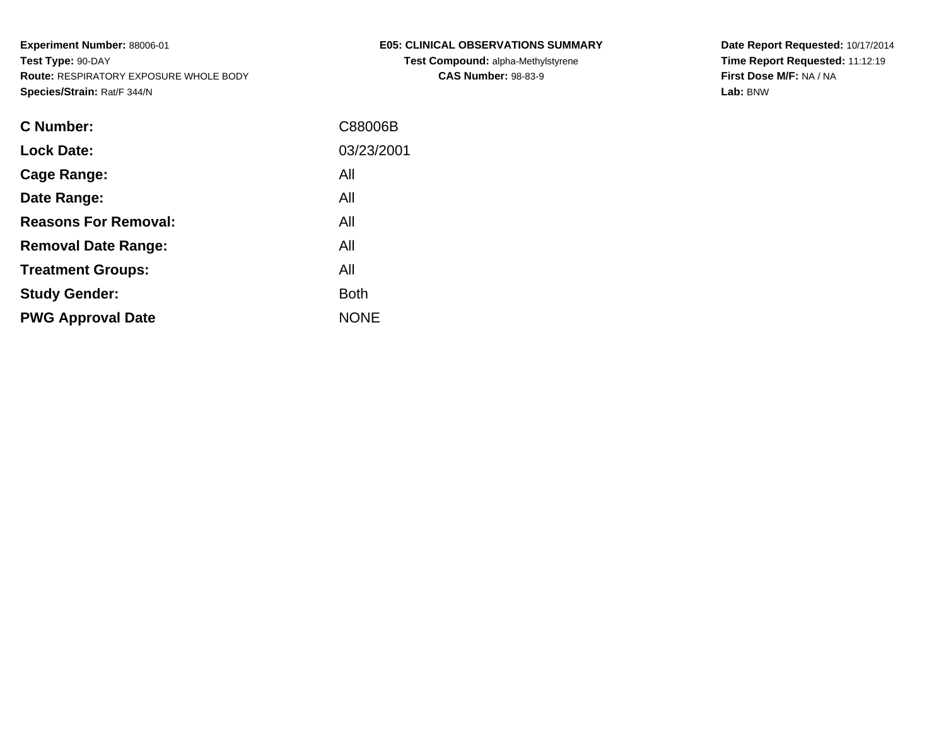| <b>C Number:</b>            | C88006B     |
|-----------------------------|-------------|
| <b>Lock Date:</b>           | 03/23/2001  |
| <b>Cage Range:</b>          | All         |
| Date Range:                 | All         |
| <b>Reasons For Removal:</b> | All         |
| <b>Removal Date Range:</b>  | All         |
| <b>Treatment Groups:</b>    | All         |
| <b>Study Gender:</b>        | <b>Both</b> |
| <b>PWG Approval Date</b>    | <b>NONE</b> |
|                             |             |

**E05: CLINICAL OBSERVATIONS SUMMARYTest Compound:** alpha-Methylstyrene**CAS Number:** 98-83-9

**Date Report Requested:** 10/17/2014 **Time Report Requested:** 11:12:19**First Dose M/F:** NA / NA**Lab:** BNW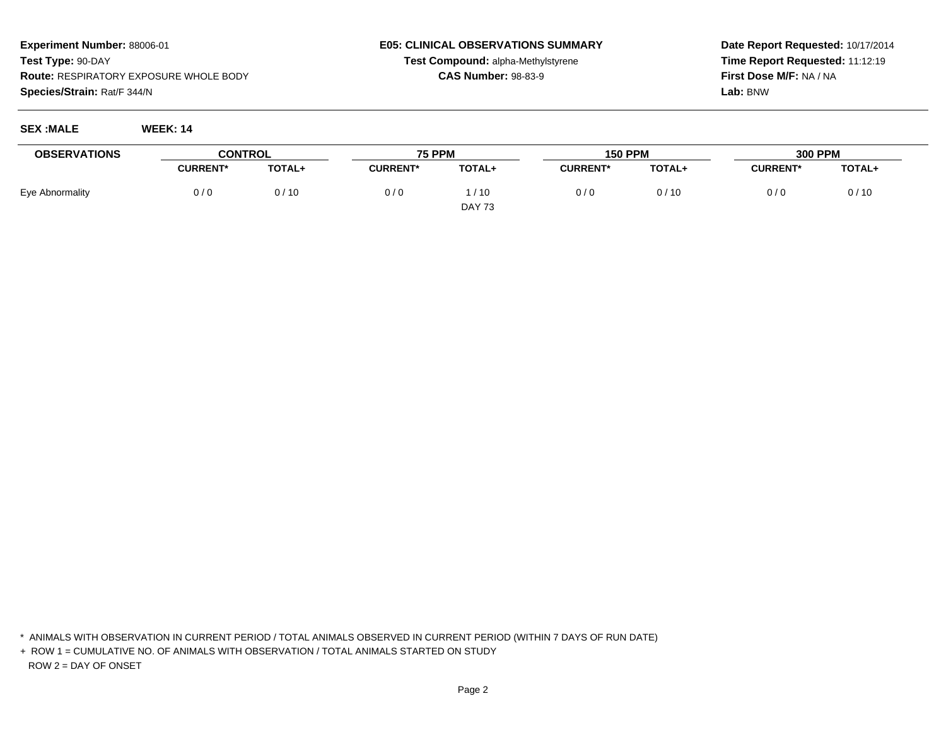## **E05: CLINICAL OBSERVATIONS SUMMARYTest Compound:** alpha-Methylstyrene

**CAS Number:** 98-83-9

**Date Report Requested:** 10/17/2014**Time Report Requested:** 11:12:19**First Dose M/F:** NA / NA**Lab:** BNW

**SEX :MALE WEEK: 14**

| <b>OBSERVATIONS</b> | <b>CONTROL</b>  |               | <b>75 PPM</b>   |               | <b>150 PPM</b>  |        | <b>300 PPM</b>  |        |
|---------------------|-----------------|---------------|-----------------|---------------|-----------------|--------|-----------------|--------|
|                     | <b>CURRENT*</b> | <b>TOTAL+</b> | <b>CURRENT*</b> | TOTAL+        | <b>CURRENT*</b> | TOTAL+ | <b>CURRENT*</b> | TOTAL+ |
| Eye Abnormality     | 0/0             | 0/10          | 0/0             | /10           | 0/0             | 0/10   | 0/0             | 0/10   |
|                     |                 |               |                 | <b>DAY 73</b> |                 |        |                 |        |

\* ANIMALS WITH OBSERVATION IN CURRENT PERIOD / TOTAL ANIMALS OBSERVED IN CURRENT PERIOD (WITHIN 7 DAYS OF RUN DATE)

+ ROW 1 = CUMULATIVE NO. OF ANIMALS WITH OBSERVATION / TOTAL ANIMALS STARTED ON STUDYROW 2 = DAY OF ONSET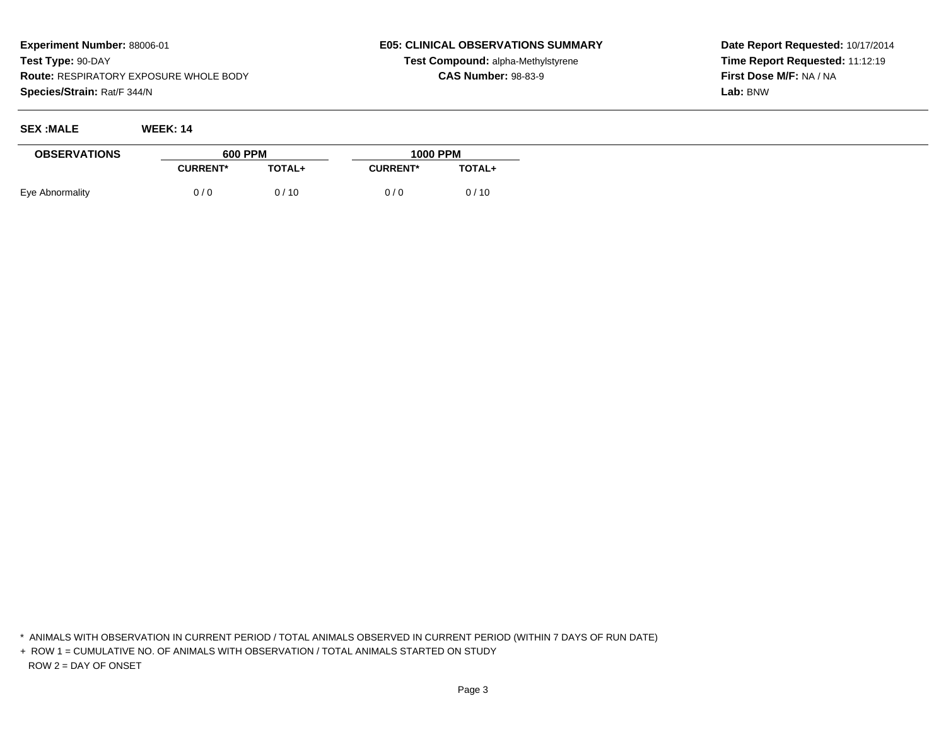**SEX :MALE WEEK: 14**

## **E05: CLINICAL OBSERVATIONS SUMMARYTest Compound:** alpha-Methylstyrene

**CAS Number:** 98-83-9

**Date Report Requested:** 10/17/2014**Time Report Requested:** 11:12:19**First Dose M/F:** NA / NA**Lab:** BNW

| <b>OBSERVATIONS</b> | <b>600 PPM</b>  |               | <b>1000 PPM</b> |               |  |
|---------------------|-----------------|---------------|-----------------|---------------|--|
|                     | <b>CURRENT*</b> | <b>TOTAL+</b> | <b>CURRENT*</b> | <b>TOTAL+</b> |  |
| Eye Abnormality     | 0/0             | 0/10          | 0/0             | 0/10          |  |

\* ANIMALS WITH OBSERVATION IN CURRENT PERIOD / TOTAL ANIMALS OBSERVED IN CURRENT PERIOD (WITHIN 7 DAYS OF RUN DATE)

+ ROW 1 = CUMULATIVE NO. OF ANIMALS WITH OBSERVATION / TOTAL ANIMALS STARTED ON STUDYROW 2 = DAY OF ONSET